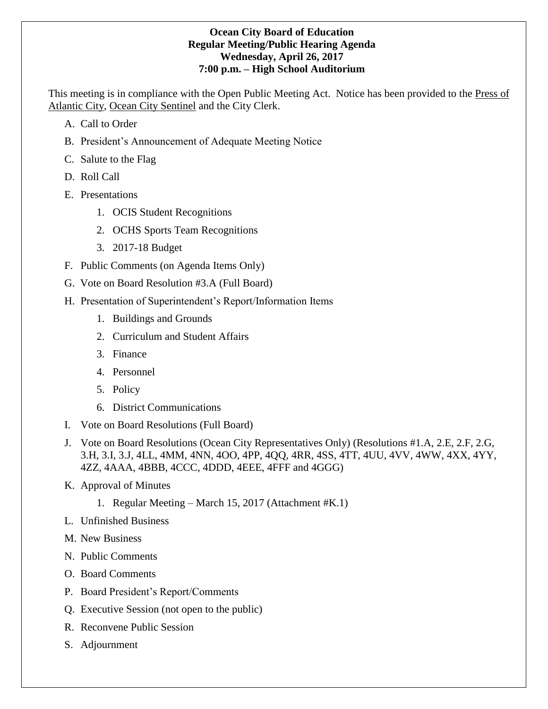## **Ocean City Board of Education Regular Meeting/Public Hearing Agenda Wednesday, April 26, 2017 7:00 p.m. – High School Auditorium**

This meeting is in compliance with the Open Public Meeting Act. Notice has been provided to the Press of Atlantic City, Ocean City Sentinel and the City Clerk.

- A. Call to Order
- B. President's Announcement of Adequate Meeting Notice
- C. Salute to the Flag
- D. Roll Call
- E. Presentations
	- 1. OCIS Student Recognitions
	- 2. OCHS Sports Team Recognitions
	- 3. 2017-18 Budget
- F. Public Comments (on Agenda Items Only)
- G. Vote on Board Resolution #3.A (Full Board)
- H. Presentation of Superintendent's Report/Information Items
	- 1. Buildings and Grounds
	- 2. Curriculum and Student Affairs
	- 3. Finance
	- 4. Personnel
	- 5. Policy
	- 6. District Communications
- I. Vote on Board Resolutions (Full Board)
- J. Vote on Board Resolutions (Ocean City Representatives Only) (Resolutions #1.A, 2.E, 2.F, 2.G, 3.H, 3.I, 3.J, 4LL, 4MM, 4NN, 4OO, 4PP, 4QQ, 4RR, 4SS, 4TT, 4UU, 4VV, 4WW, 4XX, 4YY, 4ZZ, 4AAA, 4BBB, 4CCC, 4DDD, 4EEE, 4FFF and 4GGG)
- K. Approval of Minutes
	- 1. Regular Meeting March 15, 2017 (Attachment #K.1)
- L. Unfinished Business
- M. New Business
- N. Public Comments
- O. Board Comments
- P. Board President's Report/Comments
- Q. Executive Session (not open to the public)
- R. Reconvene Public Session
- S. Adjournment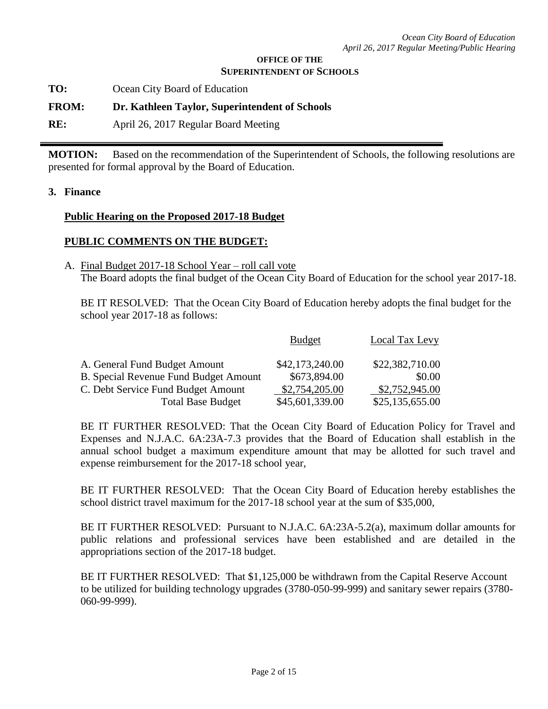#### **OFFICE OF THE SUPERINTENDENT OF SCHOOLS**

**TO:** Ocean City Board of Education

## **FROM: Dr. Kathleen Taylor, Superintendent of Schools**

**RE:** April 26, 2017 Regular Board Meeting

**MOTION:** Based on the recommendation of the Superintendent of Schools, the following resolutions are presented for formal approval by the Board of Education.

**3. Finance**

## **Public Hearing on the Proposed 2017-18 Budget**

## **PUBLIC COMMENTS ON THE BUDGET:**

A. Final Budget 2017-18 School Year – roll call vote The Board adopts the final budget of the Ocean City Board of Education for the school year 2017-18.

BE IT RESOLVED: That the Ocean City Board of Education hereby adopts the final budget for the school year 2017-18 as follows:

|                                              | <b>Budget</b>   | <b>Local Tax Levy</b> |
|----------------------------------------------|-----------------|-----------------------|
| A. General Fund Budget Amount                | \$42,173,240.00 | \$22,382,710.00       |
| <b>B. Special Revenue Fund Budget Amount</b> | \$673,894.00    | \$0.00                |
| C. Debt Service Fund Budget Amount           | \$2,754,205.00  | \$2,752,945.00        |
| <b>Total Base Budget</b>                     | \$45,601,339.00 | \$25,135,655.00       |

BE IT FURTHER RESOLVED: That the Ocean City Board of Education Policy for Travel and Expenses and N.J.A.C. 6A:23A-7.3 provides that the Board of Education shall establish in the annual school budget a maximum expenditure amount that may be allotted for such travel and expense reimbursement for the 2017-18 school year,

BE IT FURTHER RESOLVED: That the Ocean City Board of Education hereby establishes the school district travel maximum for the 2017-18 school year at the sum of \$35,000,

BE IT FURTHER RESOLVED: Pursuant to N.J.A.C. 6A:23A-5.2(a), maximum dollar amounts for public relations and professional services have been established and are detailed in the appropriations section of the 2017-18 budget.

BE IT FURTHER RESOLVED: That \$1,125,000 be withdrawn from the Capital Reserve Account to be utilized for building technology upgrades (3780-050-99-999) and sanitary sewer repairs (3780- 060-99-999).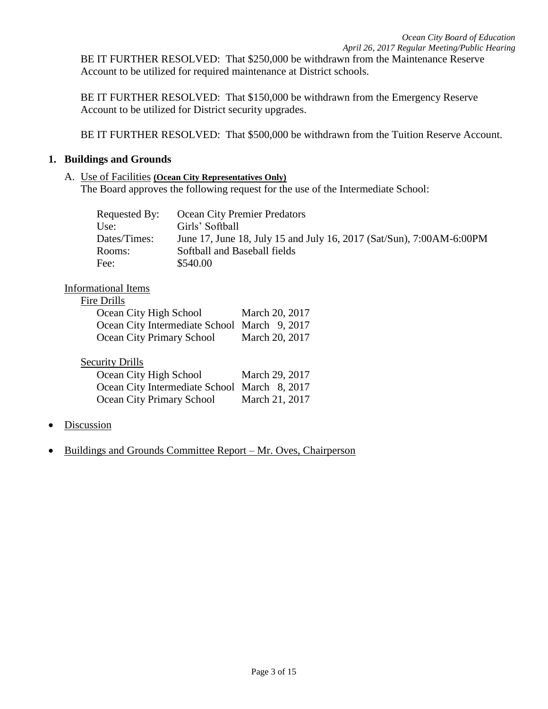BE IT FURTHER RESOLVED: That \$250,000 be withdrawn from the Maintenance Reserve Account to be utilized for required maintenance at District schools.

BE IT FURTHER RESOLVED: That \$150,000 be withdrawn from the Emergency Reserve Account to be utilized for District security upgrades.

BE IT FURTHER RESOLVED: That \$500,000 be withdrawn from the Tuition Reserve Account.

## **1. Buildings and Grounds**

#### A. Use of Facilities **(Ocean City Representatives Only)**

The Board approves the following request for the use of the Intermediate School:

| Requested By: | <b>Ocean City Premier Predators</b>                                  |
|---------------|----------------------------------------------------------------------|
| Use:          | Girls' Softball                                                      |
| Dates/Times:  | June 17, June 18, July 15 and July 16, 2017 (Sat/Sun), 7:00AM-6:00PM |
| Rooms:        | Softball and Baseball fields                                         |
| Fee:          | \$540.00                                                             |

## Informational Items

#### Fire Drills

| Ocean City High School                       | March 20, 2017 |
|----------------------------------------------|----------------|
| Ocean City Intermediate School March 9, 2017 |                |
| Ocean City Primary School                    | March 20, 2017 |

## Security Drills

| Ocean City High School                       | March 29, 2017 |
|----------------------------------------------|----------------|
| Ocean City Intermediate School March 8, 2017 |                |
| Ocean City Primary School                    | March 21, 2017 |

- Discussion
- Buildings and Grounds Committee Report Mr. Oves, Chairperson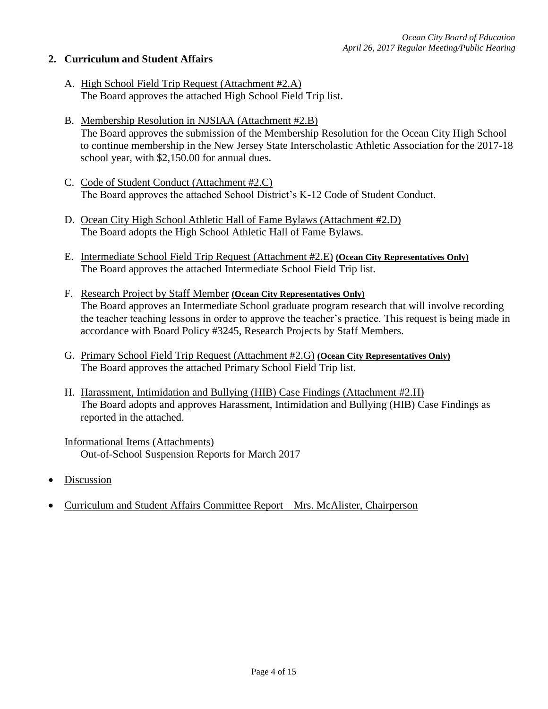## **2. Curriculum and Student Affairs**

- A. High School Field Trip Request (Attachment #2.A) The Board approves the attached High School Field Trip list.
- B. Membership Resolution in NJSIAA (Attachment #2.B) The Board approves the submission of the Membership Resolution for the Ocean City High School to continue membership in the New Jersey State Interscholastic Athletic Association for the 2017-18 school year, with \$2,150.00 for annual dues.
- C. Code of Student Conduct (Attachment #2.C) The Board approves the attached School District's K-12 Code of Student Conduct.
- D. Ocean City High School Athletic Hall of Fame Bylaws (Attachment #2.D) The Board adopts the High School Athletic Hall of Fame Bylaws.
- E. Intermediate School Field Trip Request (Attachment #2.E) **(Ocean City Representatives Only)** The Board approves the attached Intermediate School Field Trip list.
- F. Research Project by Staff Member **(Ocean City Representatives Only)** The Board approves an Intermediate School graduate program research that will involve recording the teacher teaching lessons in order to approve the teacher's practice. This request is being made in accordance with Board Policy #3245, Research Projects by Staff Members.
- G. Primary School Field Trip Request (Attachment #2.G) **(Ocean City Representatives Only)** The Board approves the attached Primary School Field Trip list.
- H. Harassment, Intimidation and Bullying (HIB) Case Findings (Attachment #2.H) The Board adopts and approves Harassment, Intimidation and Bullying (HIB) Case Findings as reported in the attached.

## Informational Items (Attachments) Out-of-School Suspension Reports for March 2017

- Discussion
- Curriculum and Student Affairs Committee Report Mrs. McAlister, Chairperson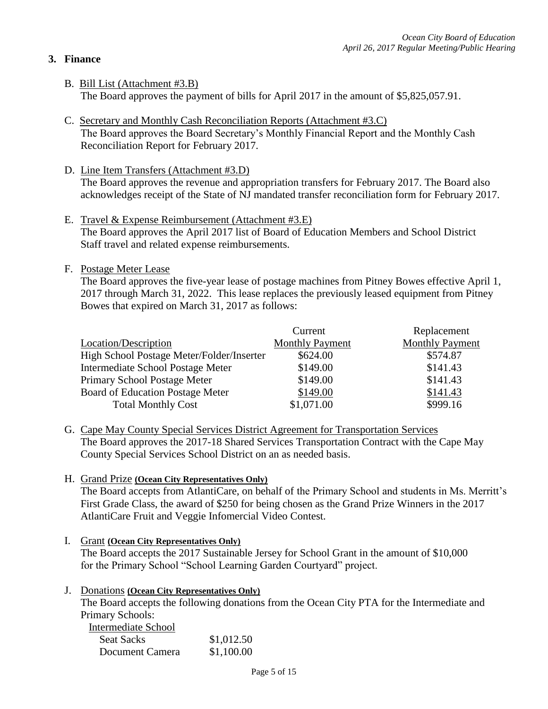## **3. Finance**

- B. Bill List (Attachment #3.B) The Board approves the payment of bills for April 2017 in the amount of \$5,825,057.91.
- C. Secretary and Monthly Cash Reconciliation Reports (Attachment #3.C) The Board approves the Board Secretary's Monthly Financial Report and the Monthly Cash Reconciliation Report for February 2017.
- D. Line Item Transfers (Attachment #3.D) The Board approves the revenue and appropriation transfers for February 2017. The Board also acknowledges receipt of the State of NJ mandated transfer reconciliation form for February 2017.
- E. Travel & Expense Reimbursement (Attachment #3.E) The Board approves the April 2017 list of Board of Education Members and School District Staff travel and related expense reimbursements.
- F. Postage Meter Lease

The Board approves the five-year lease of postage machines from Pitney Bowes effective April 1, 2017 through March 31, 2022. This lease replaces the previously leased equipment from Pitney Bowes that expired on March 31, 2017 as follows:

|                                           | Current                | Replacement            |
|-------------------------------------------|------------------------|------------------------|
| Location/Description                      | <b>Monthly Payment</b> | <b>Monthly Payment</b> |
| High School Postage Meter/Folder/Inserter | \$624.00               | \$574.87               |
| Intermediate School Postage Meter         | \$149.00               | \$141.43               |
| Primary School Postage Meter              | \$149.00               | \$141.43               |
| Board of Education Postage Meter          | \$149.00               | \$141.43               |
| <b>Total Monthly Cost</b>                 | \$1,071.00             | \$999.16               |

- G. Cape May County Special Services District Agreement for Transportation Services The Board approves the 2017-18 Shared Services Transportation Contract with the Cape May County Special Services School District on an as needed basis.
- H. Grand Prize **(Ocean City Representatives Only)**

The Board accepts from AtlantiCare, on behalf of the Primary School and students in Ms. Merritt's First Grade Class, the award of \$250 for being chosen as the Grand Prize Winners in the 2017 AtlantiCare Fruit and Veggie Infomercial Video Contest.

- I. Grant **(Ocean City Representatives Only)**  The Board accepts the 2017 Sustainable Jersey for School Grant in the amount of \$10,000 for the Primary School "School Learning Garden Courtyard" project.
- J. Donations **(Ocean City Representatives Only)**

The Board accepts the following donations from the Ocean City PTA for the Intermediate and Primary Schools:

| Intermediate School |            |
|---------------------|------------|
| <b>Seat Sacks</b>   | \$1,012.50 |
| Document Camera     | \$1,100.00 |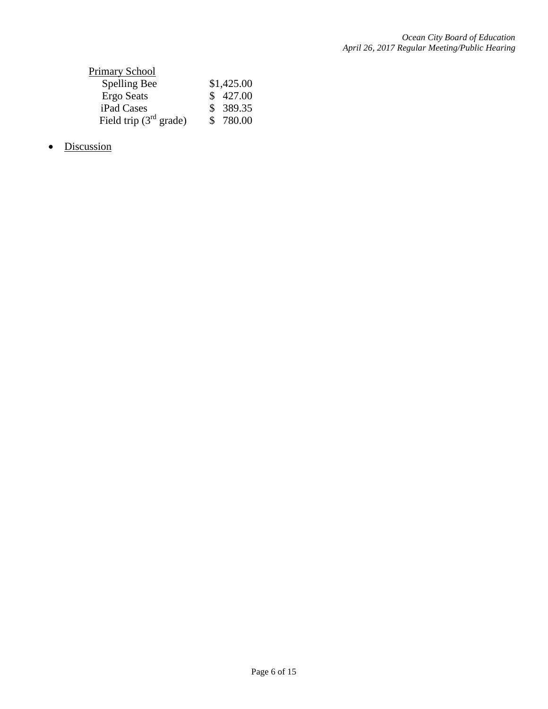| Primary School           |            |  |
|--------------------------|------------|--|
| <b>Spelling Bee</b>      | \$1,425.00 |  |
| Ergo Seats               | \$427.00   |  |
| iPad Cases               | \$ 389.35  |  |
| Field trip $(3rd$ grade) | \$780.00   |  |

• Discussion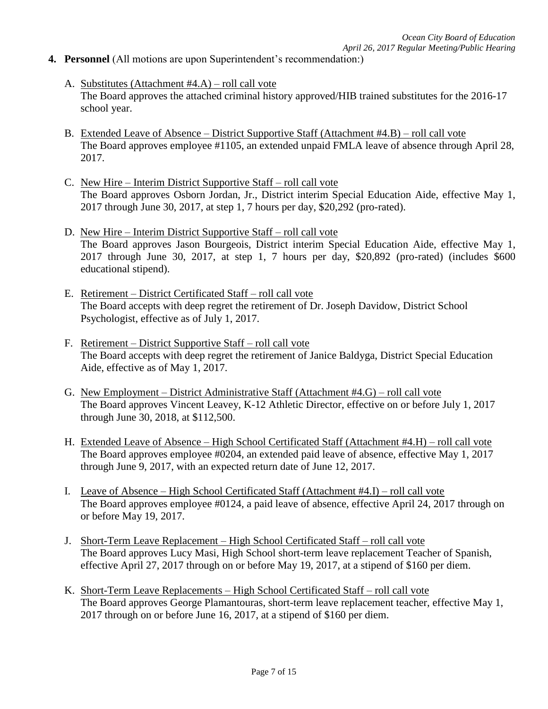- **4. Personnel** (All motions are upon Superintendent's recommendation:)
	- A. Substitutes (Attachment #4.A) roll call vote The Board approves the attached criminal history approved/HIB trained substitutes for the 2016-17 school year.
	- B. Extended Leave of Absence District Supportive Staff (Attachment #4.B) roll call vote The Board approves employee #1105, an extended unpaid FMLA leave of absence through April 28, 2017.
	- C. New Hire Interim District Supportive Staff roll call vote The Board approves Osborn Jordan, Jr., District interim Special Education Aide, effective May 1, 2017 through June 30, 2017, at step 1, 7 hours per day, \$20,292 (pro-rated).
	- D. New Hire Interim District Supportive Staff roll call vote The Board approves Jason Bourgeois, District interim Special Education Aide, effective May 1, 2017 through June 30, 2017, at step 1, 7 hours per day, \$20,892 (pro-rated) (includes \$600 educational stipend).
	- E. Retirement District Certificated Staff roll call vote The Board accepts with deep regret the retirement of Dr. Joseph Davidow, District School Psychologist, effective as of July 1, 2017.
	- F. Retirement District Supportive Staff roll call vote The Board accepts with deep regret the retirement of Janice Baldyga, District Special Education Aide, effective as of May 1, 2017.
	- G. New Employment District Administrative Staff (Attachment #4.G) roll call vote The Board approves Vincent Leavey, K-12 Athletic Director, effective on or before July 1, 2017 through June 30, 2018, at \$112,500.
	- H. Extended Leave of Absence High School Certificated Staff (Attachment #4.H) roll call vote The Board approves employee #0204, an extended paid leave of absence, effective May 1, 2017 through June 9, 2017, with an expected return date of June 12, 2017.
	- I. Leave of Absence High School Certificated Staff (Attachment #4.I) roll call vote The Board approves employee #0124, a paid leave of absence, effective April 24, 2017 through on or before May 19, 2017.
	- J. Short-Term Leave Replacement High School Certificated Staff roll call vote The Board approves Lucy Masi, High School short-term leave replacement Teacher of Spanish, effective April 27, 2017 through on or before May 19, 2017, at a stipend of \$160 per diem.
	- K. Short-Term Leave Replacements High School Certificated Staff roll call vote The Board approves George Plamantouras, short-term leave replacement teacher, effective May 1, 2017 through on or before June 16, 2017, at a stipend of \$160 per diem.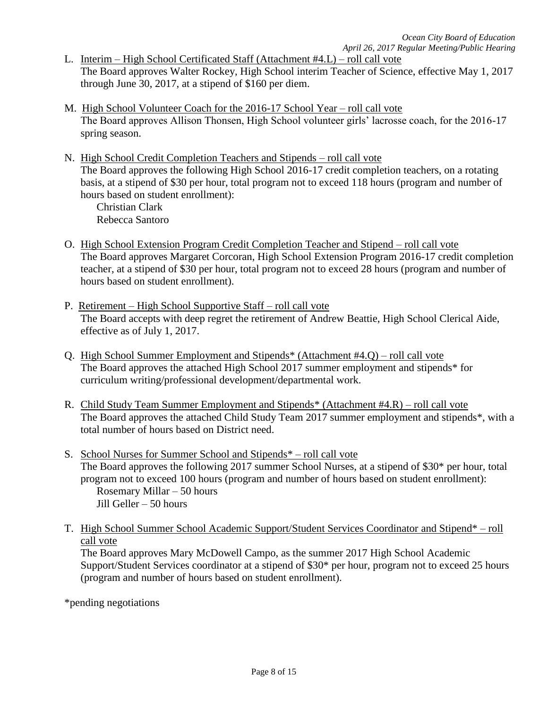- L. Interim High School Certificated Staff (Attachment #4.L) roll call vote The Board approves Walter Rockey, High School interim Teacher of Science, effective May 1, 2017 through June 30, 2017, at a stipend of \$160 per diem.
- M. High School Volunteer Coach for the 2016-17 School Year roll call vote The Board approves Allison Thonsen, High School volunteer girls' lacrosse coach, for the 2016-17 spring season.
- N. High School Credit Completion Teachers and Stipends roll call vote The Board approves the following High School 2016-17 credit completion teachers, on a rotating basis, at a stipend of \$30 per hour, total program not to exceed 118 hours (program and number of hours based on student enrollment):

Christian Clark Rebecca Santoro

- O. High School Extension Program Credit Completion Teacher and Stipend roll call vote The Board approves Margaret Corcoran, High School Extension Program 2016-17 credit completion teacher, at a stipend of \$30 per hour, total program not to exceed 28 hours (program and number of hours based on student enrollment).
- P. Retirement High School Supportive Staff roll call vote The Board accepts with deep regret the retirement of Andrew Beattie, High School Clerical Aide, effective as of July 1, 2017.
- Q. High School Summer Employment and Stipends\* (Attachment #4.Q) roll call vote The Board approves the attached High School 2017 summer employment and stipends\* for curriculum writing/professional development/departmental work.
- R. Child Study Team Summer Employment and Stipends\* (Attachment #4.R) roll call vote The Board approves the attached Child Study Team 2017 summer employment and stipends\*, with a total number of hours based on District need.
- S. School Nurses for Summer School and Stipends\* roll call vote The Board approves the following 2017 summer School Nurses, at a stipend of \$30\* per hour, total program not to exceed 100 hours (program and number of hours based on student enrollment): Rosemary Millar – 50 hours Jill Geller – 50 hours
- T. High School Summer School Academic Support/Student Services Coordinator and Stipend\* roll call vote

The Board approves Mary McDowell Campo, as the summer 2017 High School Academic Support/Student Services coordinator at a stipend of \$30\* per hour, program not to exceed 25 hours (program and number of hours based on student enrollment).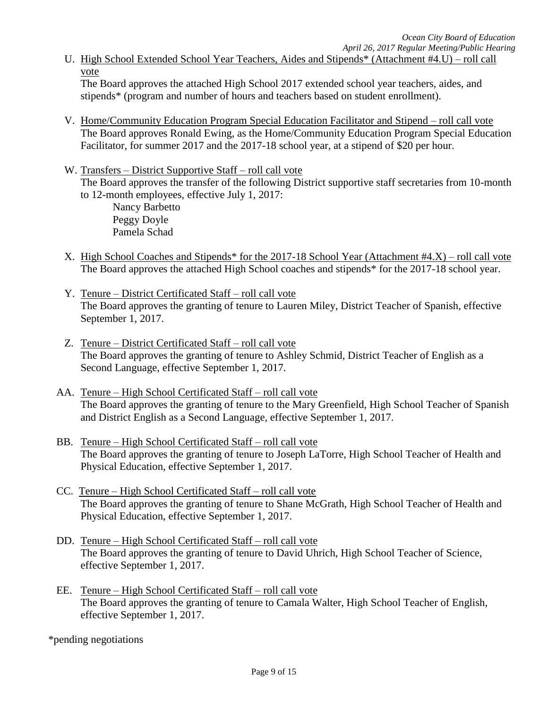U. High School Extended School Year Teachers, Aides and Stipends\* (Attachment #4.U) – roll call vote

The Board approves the attached High School 2017 extended school year teachers, aides, and stipends\* (program and number of hours and teachers based on student enrollment).

- V. Home/Community Education Program Special Education Facilitator and Stipend roll call vote The Board approves Ronald Ewing, as the Home/Community Education Program Special Education Facilitator, for summer 2017 and the 2017-18 school year, at a stipend of \$20 per hour.
- W. Transfers District Supportive Staff roll call vote The Board approves the transfer of the following District supportive staff secretaries from 10-month to 12-month employees, effective July 1, 2017: Nancy Barbetto Peggy Doyle Pamela Schad
- X. High School Coaches and Stipends\* for the 2017-18 School Year (Attachment #4.X) roll call vote The Board approves the attached High School coaches and stipends\* for the 2017-18 school year.
- Y. Tenure District Certificated Staff roll call vote The Board approves the granting of tenure to Lauren Miley, District Teacher of Spanish, effective September 1, 2017.
- Z. Tenure District Certificated Staff roll call vote The Board approves the granting of tenure to Ashley Schmid, District Teacher of English as a Second Language, effective September 1, 2017.
- AA. Tenure High School Certificated Staff roll call vote The Board approves the granting of tenure to the Mary Greenfield, High School Teacher of Spanish and District English as a Second Language, effective September 1, 2017.
- BB. Tenure High School Certificated Staff roll call vote The Board approves the granting of tenure to Joseph LaTorre, High School Teacher of Health and Physical Education, effective September 1, 2017.
- CC. Tenure High School Certificated Staff roll call vote The Board approves the granting of tenure to Shane McGrath, High School Teacher of Health and Physical Education, effective September 1, 2017.
- DD. Tenure High School Certificated Staff roll call vote The Board approves the granting of tenure to David Uhrich, High School Teacher of Science, effective September 1, 2017.
- EE. Tenure High School Certificated Staff roll call vote The Board approves the granting of tenure to Camala Walter, High School Teacher of English, effective September 1, 2017.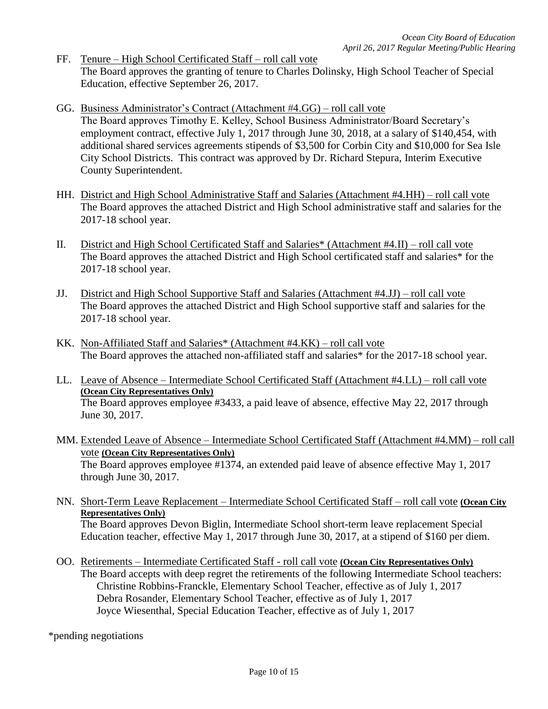- FF. Tenure High School Certificated Staff roll call vote The Board approves the granting of tenure to Charles Dolinsky, High School Teacher of Special Education, effective September 26, 2017.
- GG. Business Administrator's Contract (Attachment #4.GG) roll call vote The Board approves Timothy E. Kelley, School Business Administrator/Board Secretary's employment contract, effective July 1, 2017 through June 30, 2018, at a salary of \$140,454, with additional shared services agreements stipends of \$3,500 for Corbin City and \$10,000 for Sea Isle City School Districts. This contract was approved by Dr. Richard Stepura, Interim Executive County Superintendent.
- HH. District and High School Administrative Staff and Salaries (Attachment #4.HH) roll call vote The Board approves the attached District and High School administrative staff and salaries for the 2017-18 school year.
- II. District and High School Certificated Staff and Salaries\* (Attachment #4.II) roll call vote The Board approves the attached District and High School certificated staff and salaries\* for the 2017-18 school year.
- JJ. District and High School Supportive Staff and Salaries (Attachment #4.JJ) roll call vote The Board approves the attached District and High School supportive staff and salaries for the 2017-18 school year.
- KK. Non-Affiliated Staff and Salaries\* (Attachment #4.KK) roll call vote The Board approves the attached non-affiliated staff and salaries\* for the 2017-18 school year.
- LL. Leave of Absence Intermediate School Certificated Staff (Attachment #4.LL) roll call vote **(Ocean City Representatives Only)** The Board approves employee #3433, a paid leave of absence, effective May 22, 2017 through June 30, 2017.
- MM. Extended Leave of Absence Intermediate School Certificated Staff (Attachment #4.MM) roll call vote **(Ocean City Representatives Only)** The Board approves employee #1374, an extended paid leave of absence effective May 1, 2017 through June 30, 2017.
- NN. Short-Term Leave Replacement Intermediate School Certificated Staff roll call vote **(Ocean City Representatives Only)** The Board approves Devon Biglin, Intermediate School short-term leave replacement Special Education teacher, effective May 1, 2017 through June 30, 2017, at a stipend of \$160 per diem.
- OO. Retirements Intermediate Certificated Staff roll call vote **(Ocean City Representatives Only)** The Board accepts with deep regret the retirements of the following Intermediate School teachers: Christine Robbins-Franckle, Elementary School Teacher, effective as of July 1, 2017

Debra Rosander, Elementary School Teacher, effective as of July 1, 2017

Joyce Wiesenthal, Special Education Teacher, effective as of July 1, 2017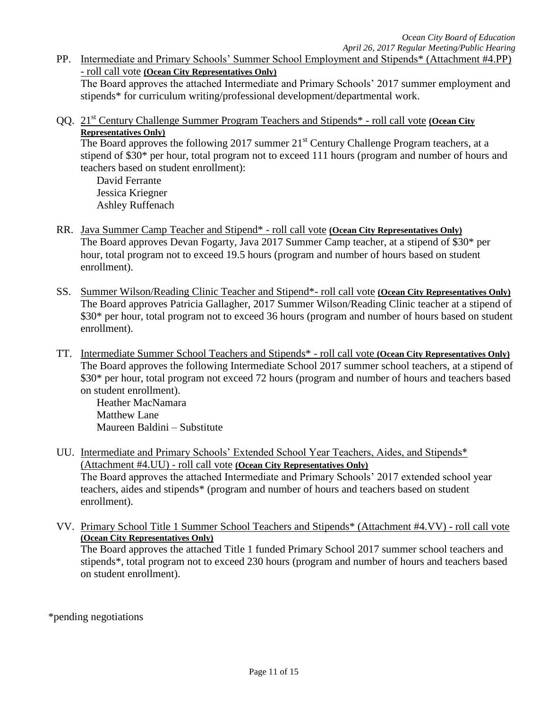PP. Intermediate and Primary Schools' Summer School Employment and Stipends\* (Attachment #4.PP) - roll call vote **(Ocean City Representatives Only)**

The Board approves the attached Intermediate and Primary Schools' 2017 summer employment and stipends\* for curriculum writing/professional development/departmental work.

QQ. 21st Century Challenge Summer Program Teachers and Stipends\* - roll call vote **(Ocean City Representatives Only)**

The Board approves the following 2017 summer 21<sup>st</sup> Century Challenge Program teachers, at a stipend of \$30\* per hour, total program not to exceed 111 hours (program and number of hours and teachers based on student enrollment):

David Ferrante Jessica Kriegner Ashley Ruffenach

- RR. Java Summer Camp Teacher and Stipend\* roll call vote **(Ocean City Representatives Only)** The Board approves Devan Fogarty, Java 2017 Summer Camp teacher, at a stipend of \$30\* per hour, total program not to exceed 19.5 hours (program and number of hours based on student enrollment).
- SS. Summer Wilson/Reading Clinic Teacher and Stipend\*- roll call vote **(Ocean City Representatives Only)** The Board approves Patricia Gallagher, 2017 Summer Wilson/Reading Clinic teacher at a stipend of \$30<sup>\*</sup> per hour, total program not to exceed 36 hours (program and number of hours based on student enrollment).
- TT. Intermediate Summer School Teachers and Stipends\* roll call vote **(Ocean City Representatives Only)** The Board approves the following Intermediate School 2017 summer school teachers, at a stipend of \$30\* per hour, total program not exceed 72 hours (program and number of hours and teachers based on student enrollment).

Heather MacNamara Matthew Lane Maureen Baldini – Substitute

- UU. Intermediate and Primary Schools' Extended School Year Teachers, Aides, and Stipends\* (Attachment #4.UU) - roll call vote **(Ocean City Representatives Only)** The Board approves the attached Intermediate and Primary Schools' 2017 extended school year teachers, aides and stipends\* (program and number of hours and teachers based on student enrollment).
- VV. Primary School Title 1 Summer School Teachers and Stipends\* (Attachment #4.VV) roll call vote **(Ocean City Representatives Only)** The Board approves the attached Title 1 funded Primary School 2017 summer school teachers and stipends\*, total program not to exceed 230 hours (program and number of hours and teachers based on student enrollment).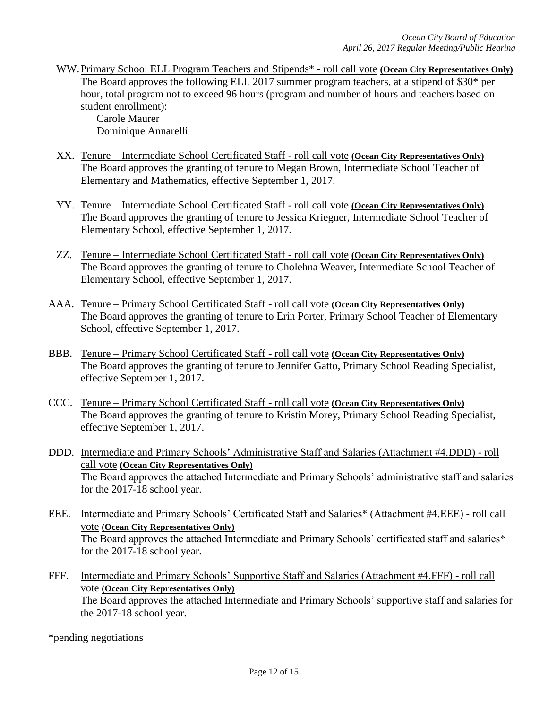WW.Primary School ELL Program Teachers and Stipends\* - roll call vote **(Ocean City Representatives Only)** The Board approves the following ELL 2017 summer program teachers, at a stipend of \$30\* per hour, total program not to exceed 96 hours (program and number of hours and teachers based on student enrollment):

Carole Maurer Dominique Annarelli

- XX. Tenure Intermediate School Certificated Staff roll call vote **(Ocean City Representatives Only)** The Board approves the granting of tenure to Megan Brown, Intermediate School Teacher of Elementary and Mathematics, effective September 1, 2017.
- YY. Tenure Intermediate School Certificated Staff roll call vote **(Ocean City Representatives Only)** The Board approves the granting of tenure to Jessica Kriegner, Intermediate School Teacher of Elementary School, effective September 1, 2017.
- ZZ. Tenure Intermediate School Certificated Staff roll call vote **(Ocean City Representatives Only)** The Board approves the granting of tenure to Cholehna Weaver, Intermediate School Teacher of Elementary School, effective September 1, 2017.
- AAA. Tenure Primary School Certificated Staff roll call vote **(Ocean City Representatives Only)** The Board approves the granting of tenure to Erin Porter, Primary School Teacher of Elementary School, effective September 1, 2017.
- BBB. Tenure Primary School Certificated Staff roll call vote **(Ocean City Representatives Only)** The Board approves the granting of tenure to Jennifer Gatto, Primary School Reading Specialist, effective September 1, 2017.
- CCC. Tenure Primary School Certificated Staff roll call vote **(Ocean City Representatives Only)** The Board approves the granting of tenure to Kristin Morey, Primary School Reading Specialist, effective September 1, 2017.
- DDD. Intermediate and Primary Schools' Administrative Staff and Salaries (Attachment #4.DDD) roll call vote **(Ocean City Representatives Only)** The Board approves the attached Intermediate and Primary Schools' administrative staff and salaries for the 2017-18 school year.
- EEE. Intermediate and Primary Schools' Certificated Staff and Salaries\* (Attachment #4.EEE) roll call vote **(Ocean City Representatives Only)** The Board approves the attached Intermediate and Primary Schools' certificated staff and salaries\* for the 2017-18 school year.
- FFF. Intermediate and Primary Schools' Supportive Staff and Salaries (Attachment #4.FFF) roll call vote **(Ocean City Representatives Only)** The Board approves the attached Intermediate and Primary Schools' supportive staff and salaries for the 2017-18 school year.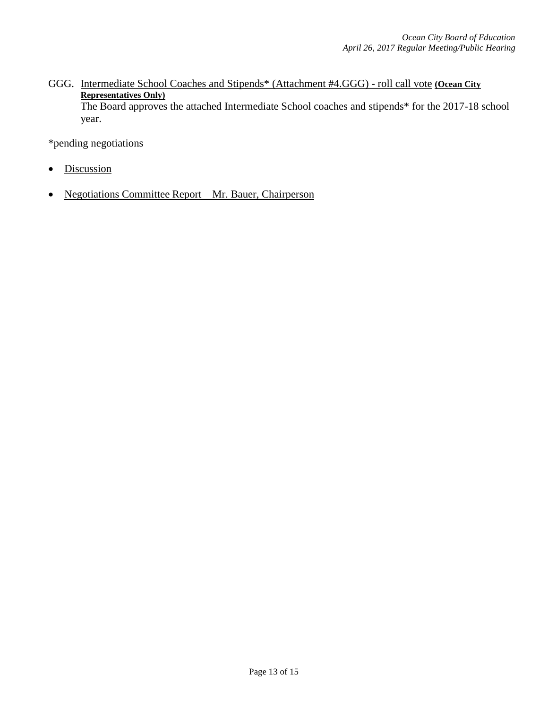GGG. Intermediate School Coaches and Stipends\* (Attachment #4.GGG) - roll call vote **(Ocean City Representatives Only)**

The Board approves the attached Intermediate School coaches and stipends\* for the 2017-18 school year.

- Discussion
- Negotiations Committee Report Mr. Bauer, Chairperson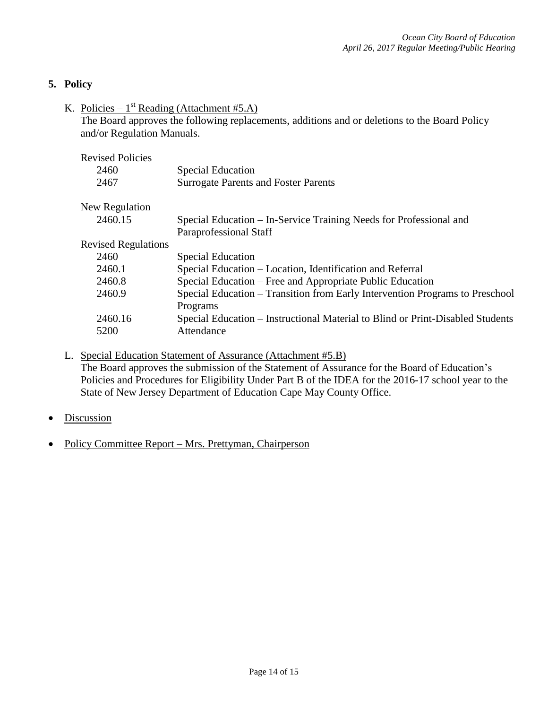## **5. Policy**

K. Policies –  $1^{st}$  Reading (Attachment #5.A)

The Board approves the following replacements, additions and or deletions to the Board Policy and/or Regulation Manuals.

| Special Education – Transition from Early Intervention Programs to Preschool   |
|--------------------------------------------------------------------------------|
|                                                                                |
| Special Education - Instructional Material to Blind or Print-Disabled Students |
|                                                                                |
|                                                                                |

L. Special Education Statement of Assurance (Attachment #5.B) The Board approves the submission of the Statement of Assurance for the Board of Education's Policies and Procedures for Eligibility Under Part B of the IDEA for the 2016-17 school year to the State of New Jersey Department of Education Cape May County Office.

- **Discussion**
- Policy Committee Report Mrs. Prettyman, Chairperson